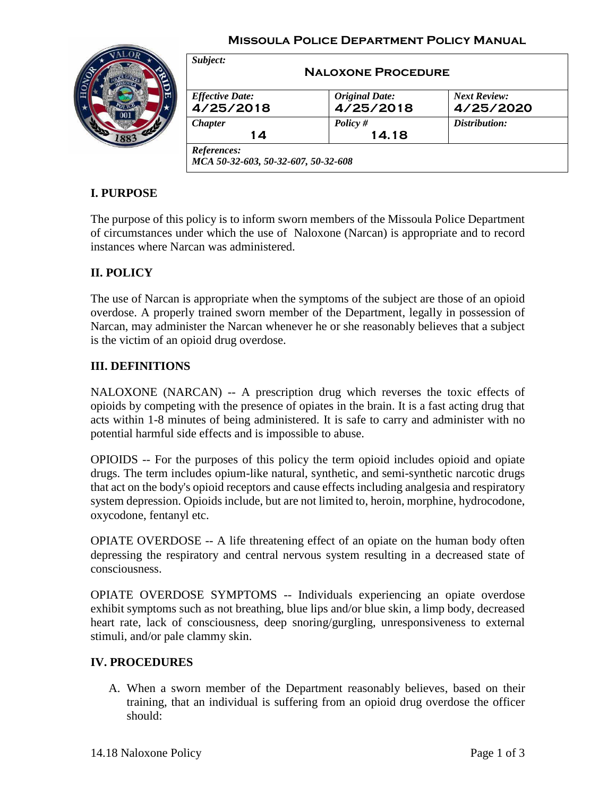#### **Missoula Police Department Policy Manual**



| <b>Effective Date:</b> | <b>Original Date:</b> | <b>Next Review:</b> |
|------------------------|-----------------------|---------------------|
| 4/25/2018              | 4/25/2018             | 4/25/2020           |
| <i>Chapter</i>         | Policy $#$            | Distribution:       |
| 14                     | 14.18                 |                     |

# **I. PURPOSE**

The purpose of this policy is to inform sworn members of the Missoula Police Department of circumstances under which the use of Naloxone (Narcan) is appropriate and to record instances where Narcan was administered.

# **II. POLICY**

The use of Narcan is appropriate when the symptoms of the subject are those of an opioid overdose. A properly trained sworn member of the Department, legally in possession of Narcan, may administer the Narcan whenever he or she reasonably believes that a subject is the victim of an opioid drug overdose.

### **III. DEFINITIONS**

NALOXONE (NARCAN) -- A prescription drug which reverses the toxic effects of opioids by competing with the presence of opiates in the brain. It is a fast acting drug that acts within 1-8 minutes of being administered. It is safe to carry and administer with no potential harmful side effects and is impossible to abuse.

OPIOIDS -- For the purposes of this policy the term opioid includes opioid and opiate drugs. The term includes opium-like natural, synthetic, and semi-synthetic narcotic drugs that act on the body's opioid receptors and cause effects including analgesia and respiratory system depression. Opioids include, but are not limited to, heroin, morphine, hydrocodone, oxycodone, fentanyl etc.

OPIATE OVERDOSE -- A life threatening effect of an opiate on the human body often depressing the respiratory and central nervous system resulting in a decreased state of consciousness.

OPIATE OVERDOSE SYMPTOMS -- Individuals experiencing an opiate overdose exhibit symptoms such as not breathing, blue lips and/or blue skin, a limp body, decreased heart rate, lack of consciousness, deep snoring/gurgling, unresponsiveness to external stimuli, and/or pale clammy skin.

### **IV. PROCEDURES**

A. When a sworn member of the Department reasonably believes, based on their training, that an individual is suffering from an opioid drug overdose the officer should: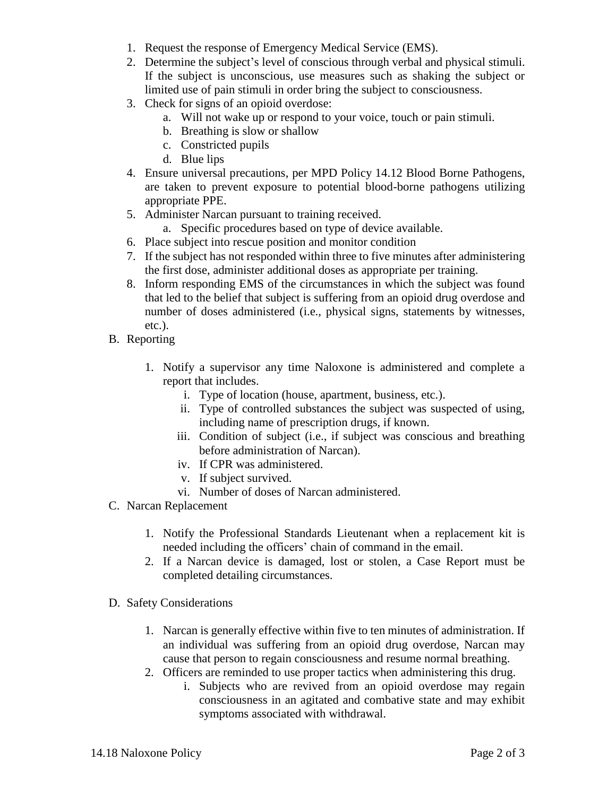- 1. Request the response of Emergency Medical Service (EMS).
- 2. Determine the subject's level of conscious through verbal and physical stimuli. If the subject is unconscious, use measures such as shaking the subject or limited use of pain stimuli in order bring the subject to consciousness.
- 3. Check for signs of an opioid overdose:
	- a. Will not wake up or respond to your voice, touch or pain stimuli.
	- b. Breathing is slow or shallow
	- c. Constricted pupils
	- d. Blue lips
- 4. Ensure universal precautions, per MPD Policy 14.12 Blood Borne Pathogens, are taken to prevent exposure to potential blood-borne pathogens utilizing appropriate PPE.
- 5. Administer Narcan pursuant to training received.
	- a. Specific procedures based on type of device available.
- 6. Place subject into rescue position and monitor condition
- 7. If the subject has not responded within three to five minutes after administering the first dose, administer additional doses as appropriate per training.
- 8. Inform responding EMS of the circumstances in which the subject was found that led to the belief that subject is suffering from an opioid drug overdose and number of doses administered (i.e., physical signs, statements by witnesses, etc.).
- B. Reporting
	- 1. Notify a supervisor any time Naloxone is administered and complete a report that includes.
		- i. Type of location (house, apartment, business, etc.).
		- ii. Type of controlled substances the subject was suspected of using, including name of prescription drugs, if known.
		- iii. Condition of subject (i.e., if subject was conscious and breathing before administration of Narcan).
		- iv. If CPR was administered.
		- v. If subject survived.
		- vi. Number of doses of Narcan administered.
- C. Narcan Replacement
	- 1. Notify the Professional Standards Lieutenant when a replacement kit is needed including the officers' chain of command in the email.
	- 2. If a Narcan device is damaged, lost or stolen, a Case Report must be completed detailing circumstances.
- D. Safety Considerations
	- 1. Narcan is generally effective within five to ten minutes of administration. If an individual was suffering from an opioid drug overdose, Narcan may cause that person to regain consciousness and resume normal breathing.
	- 2. Officers are reminded to use proper tactics when administering this drug.
		- i. Subjects who are revived from an opioid overdose may regain consciousness in an agitated and combative state and may exhibit symptoms associated with withdrawal.